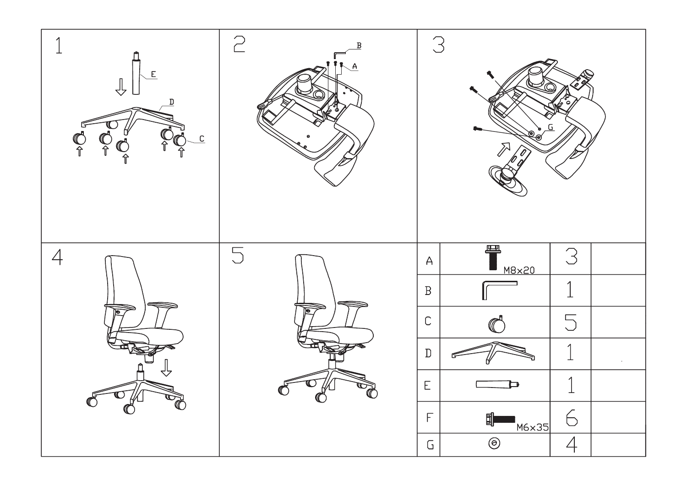